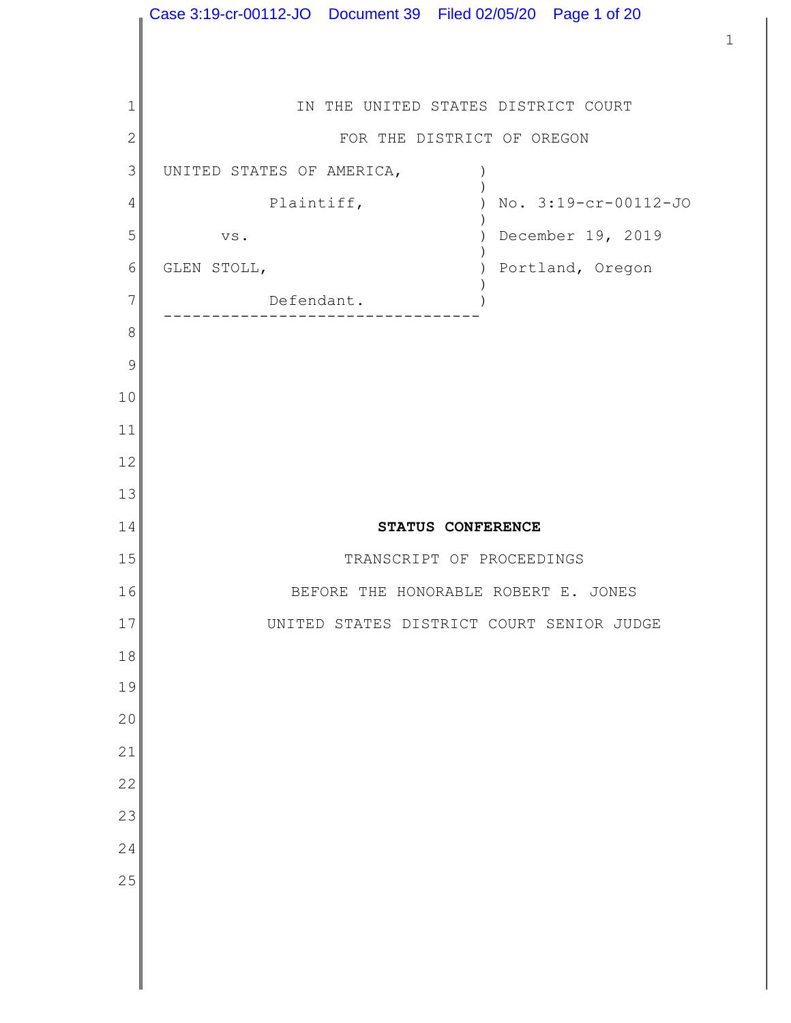IN THE UNITED STATES DISTRICT COURT FOR THE DISTRICT OF OREGON UNITED STATES OF AMERICA,  $($  $)$ Plaintiff,  $\qquad \qquad$  ) No. 3:19-cr-00112-JO  $)$  vs. ) December 19, 2019  $)$ GLEN STOLL,  $\rule{1em}{0.15mm}$  (Degon ) Portland, Oregon  $)$ Defendant. --------------------------------- STATUS CONFERENCE TRANSCRIPT OF PROCEEDINGS BEFORE THE HONORABLE ROBERT E. JONES UNITED STATES DISTRICT COURT SENIOR JUDGE Case 3:19-cr-00112-JO Document 39 Filed 02/05/20 Page 1 of 20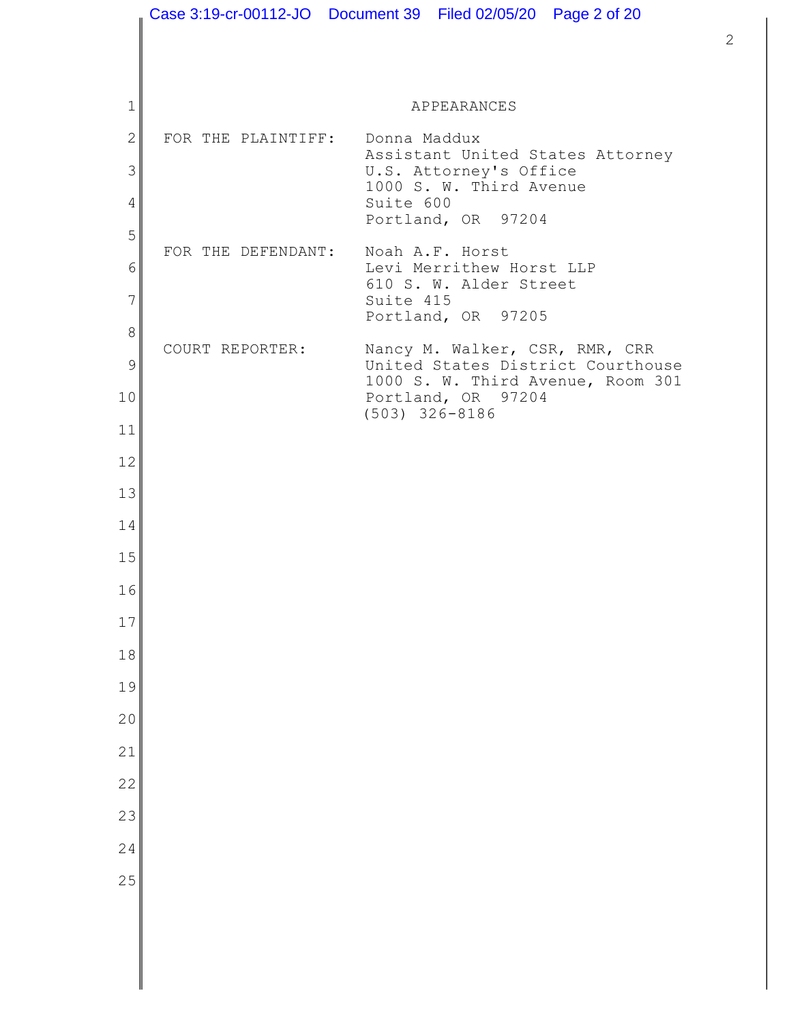|                |                                 | Case 3:19-cr-00112-JO  Document 39  Filed 02/05/20  Page 2 of 20                             |
|----------------|---------------------------------|----------------------------------------------------------------------------------------------|
|                |                                 |                                                                                              |
|                |                                 |                                                                                              |
| 1              |                                 | APPEARANCES                                                                                  |
| $\overline{2}$ | FOR THE PLAINTIFF: Donna Maddux | Assistant United States Attorney                                                             |
| 3              |                                 | U.S. Attorney's Office<br>1000 S. W. Third Avenue                                            |
| $\overline{4}$ |                                 | Suite 600<br>Portland, OR 97204                                                              |
| 5              |                                 | FOR THE DEFENDANT: Noah A.F. Horst                                                           |
| 6              |                                 | Levi Merrithew Horst LLP<br>610 S. W. Alder Street                                           |
| 7              |                                 | Suite 415<br>Portland, OR 97205                                                              |
| 8              | COURT REPORTER:                 | Nancy M. Walker, CSR, RMR, CRR                                                               |
| 9<br>10        |                                 | United States District Courthouse<br>1000 S. W. Third Avenue, Room 301<br>Portland, OR 97204 |
| 11             |                                 | $(503)$ 326-8186                                                                             |
| 12             |                                 |                                                                                              |
| 13             |                                 |                                                                                              |
| 14             |                                 |                                                                                              |
| 15             |                                 |                                                                                              |
| 16             |                                 |                                                                                              |
| 17             |                                 |                                                                                              |
| 18             |                                 |                                                                                              |
| 19             |                                 |                                                                                              |
| 20             |                                 |                                                                                              |
| 21             |                                 |                                                                                              |
| 22             |                                 |                                                                                              |
| 23             |                                 |                                                                                              |
| 24             |                                 |                                                                                              |
| 25             |                                 |                                                                                              |
|                |                                 |                                                                                              |
|                |                                 |                                                                                              |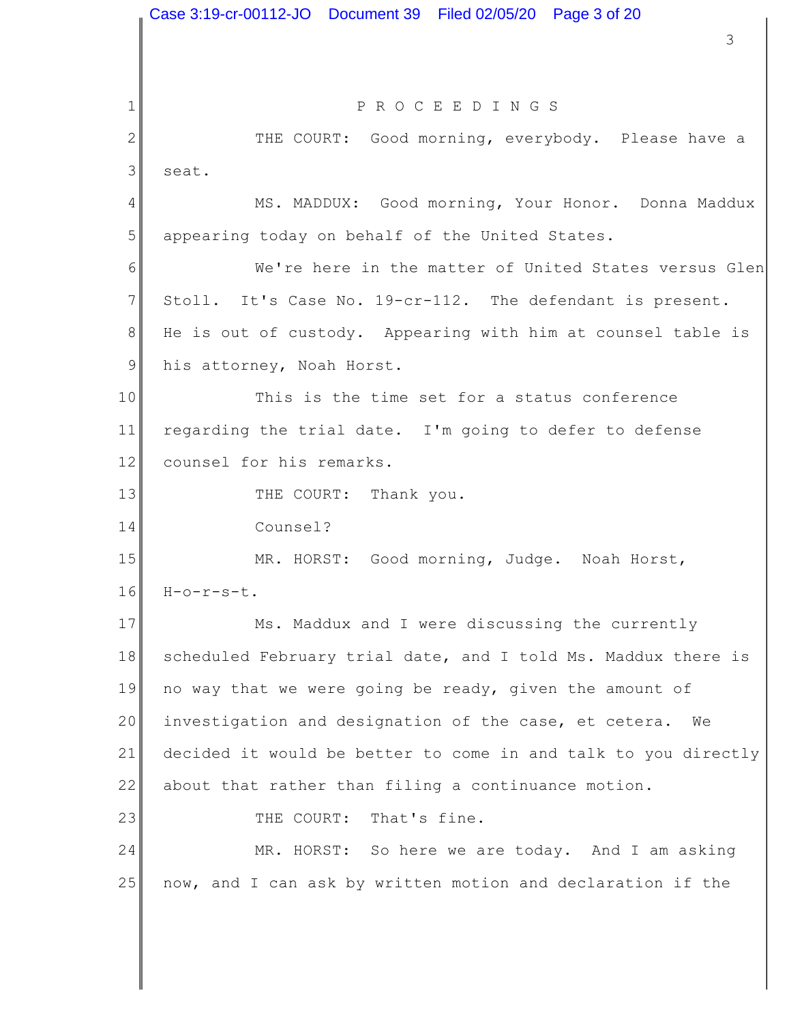1 2 3 4 5 6 7 8 9 10 11 12 13 14 15 16 17 18 19 20 21 22 23 24 25 3 P R O C E E D I N G S THE COURT: Good morning, everybody. Please have a seat. MS. MADDUX: Good morning, Your Honor. Donna Maddux appearing today on behalf of the United States. We're here in the matter of United States versus Glen Stoll. It's Case No. 19-cr-112. The defendant is present. He is out of custody. Appearing with him at counsel table is his attorney, Noah Horst. This is the time set for a status conference regarding the trial date. I'm going to defer to defense counsel for his remarks. THE COURT: Thank you. Counsel? MR. HORST: Good morning, Judge. Noah Horst, H-o-r-s-t. Ms. Maddux and I were discussing the currently scheduled February trial date, and I told Ms. Maddux there is no way that we were going be ready, given the amount of investigation and designation of the case, et cetera. We decided it would be better to come in and talk to you directly about that rather than filing a continuance motion. THE COURT: That's fine. MR. HORST: So here we are today. And I am asking now, and I can ask by written motion and declaration if the Case 3:19-cr-00112-JO Document 39 Filed 02/05/20 Page 3 of 20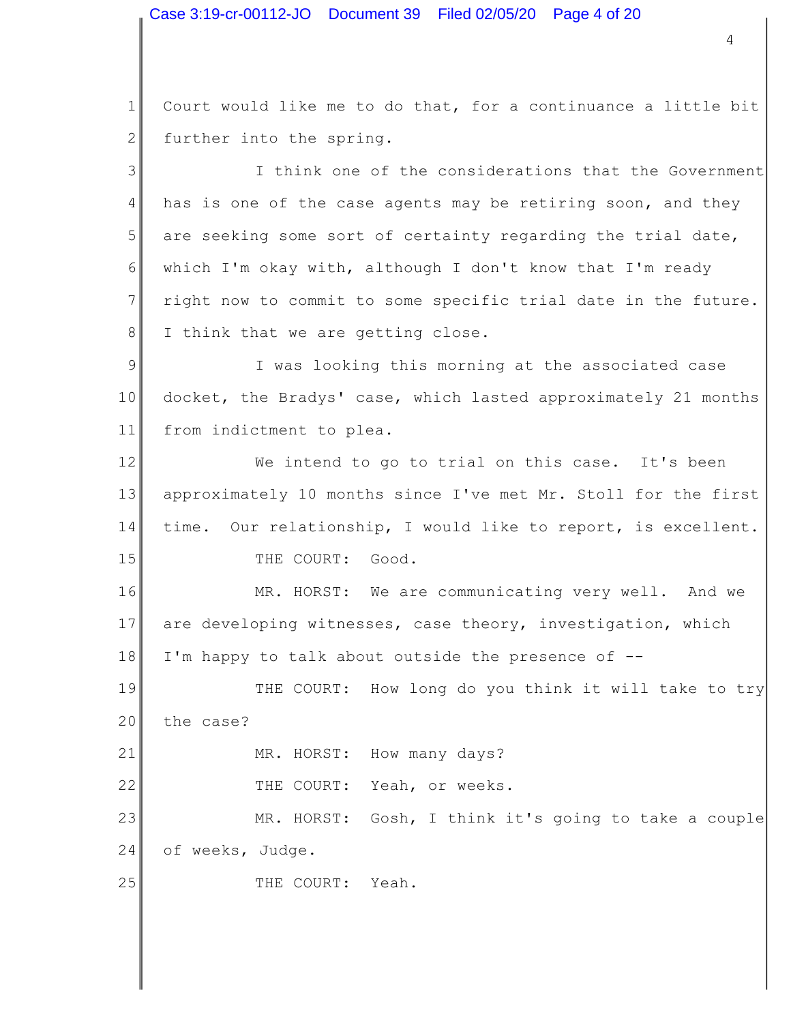Case 3:19-cr-00112-JO Document 39 Filed 02/05/20 Page 4 of 20

1 2 3 4 5 6 7 8 9 10 11 12 13 14 15 16 17 18 19 4 Court would like me to do that, for a continuance a little bit further into the spring. I think one of the considerations that the Government has is one of the case agents may be retiring soon, and they are seeking some sort of certainty regarding the trial date, which I'm okay with, although I don't know that I'm ready right now to commit to some specific trial date in the future. I think that we are getting close. I was looking this morning at the associated case docket, the Bradys' case, which lasted approximately 21 months from indictment to plea. We intend to go to trial on this case. It's been approximately 10 months since I've met Mr. Stoll for the first time. Our relationship, I would like to report, is excellent. THE COURT: Good. MR. HORST: We are communicating very well. And we are developing witnesses, case theory, investigation, which I'm happy to talk about outside the presence of -- THE COURT: How long do you think it will take to try

20 the case?

21

25

MR. HORST: How many days?

22 THE COURT: Yeah, or weeks.

23 24 MR. HORST: Gosh, I think it's going to take a couple of weeks, Judge.

THE COURT: Yeah.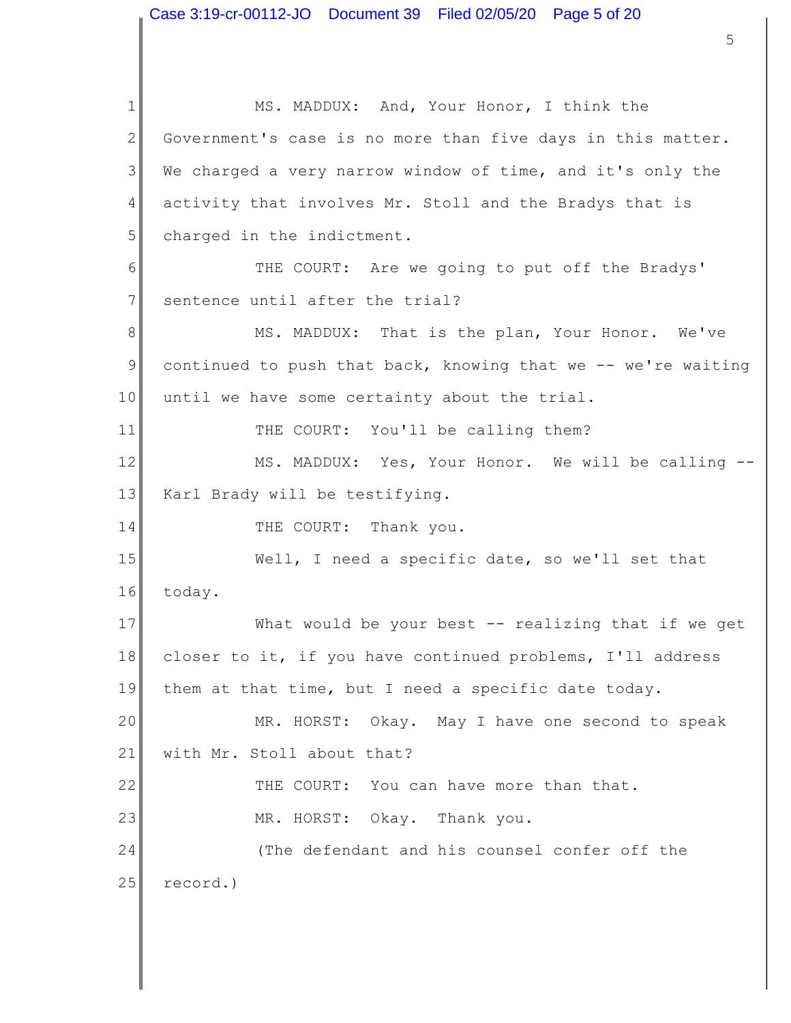1 2 3 4 5 6 7 8 9 10 11 12 13 14 15 16 17 18 19 20 21 22 23 24 25 MS. MADDUX: And, Your Honor, I think the Government's case is no more than five days in this matter. We charged a very narrow window of time, and it's only the activity that involves Mr. Stoll and the Bradys that is charged in the indictment. THE COURT: Are we going to put off the Bradys' sentence until after the trial? MS. MADDUX: That is the plan, Your Honor. We've continued to push that back, knowing that we -- we're waiting until we have some certainty about the trial. THE COURT: You'll be calling them? MS. MADDUX: Yes, Your Honor. We will be calling -- Karl Brady will be testifying. THE COURT: Thank you. Well, I need a specific date, so we'll set that today. What would be your best -- realizing that if we get closer to it, if you have continued problems, I'll address them at that time, but I need a specific date today. MR. HORST: Okay. May I have one second to speak with Mr. Stoll about that? THE COURT: You can have more than that. MR. HORST: Okay. Thank you. (The defendant and his counsel confer off the record.)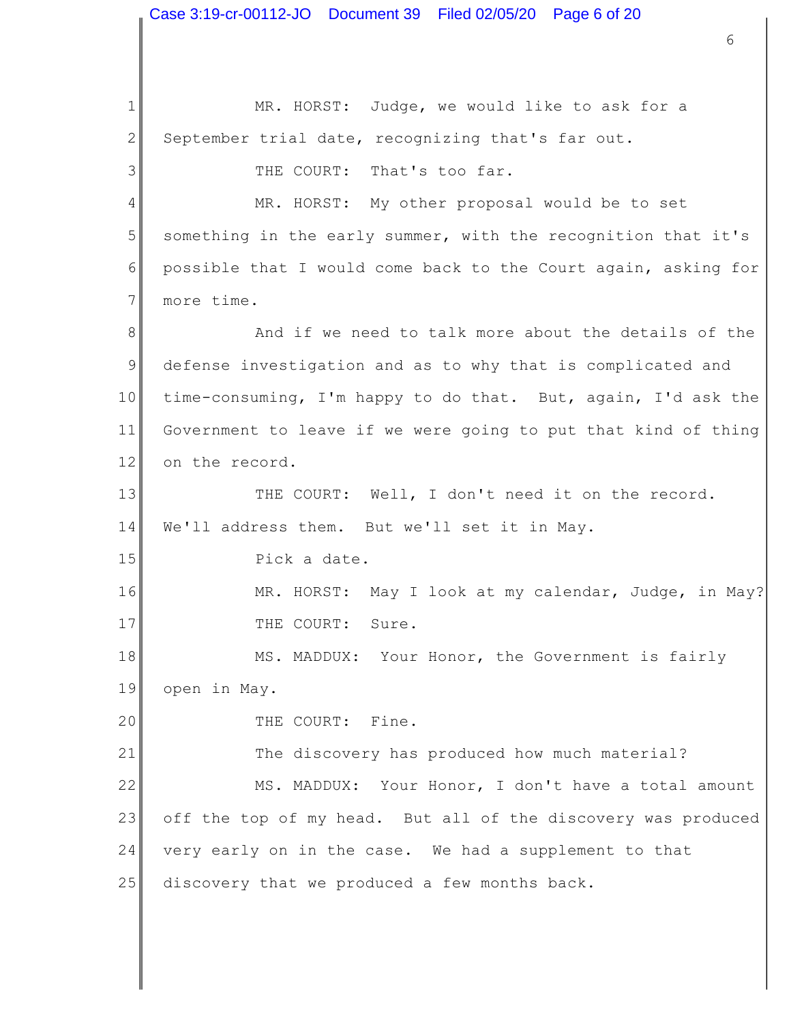1 2 3 4 5 6 7 8 9 10 11 12 13 14 15 16 17 18 19 20 21 22 23 24 25 6 MR. HORST: Judge, we would like to ask for a September trial date, recognizing that's far out. THE COURT: That's too far. MR. HORST: My other proposal would be to set something in the early summer, with the recognition that it's possible that I would come back to the Court again, asking for more time. And if we need to talk more about the details of the defense investigation and as to why that is complicated and time-consuming, I'm happy to do that. But, again, I'd ask the Government to leave if we were going to put that kind of thing on the record. THE COURT: Well, I don't need it on the record. We'll address them. But we'll set it in May. Pick a date. MR. HORST: May I look at my calendar, Judge, in May? THE COURT: Sure. MS. MADDUX: Your Honor, the Government is fairly open in May. THE COURT: Fine. The discovery has produced how much material? MS. MADDUX: Your Honor, I don't have a total amount off the top of my head. But all of the discovery was produced very early on in the case. We had a supplement to that discovery that we produced a few months back. Case 3:19-cr-00112-JO Document 39 Filed 02/05/20 Page 6 of 20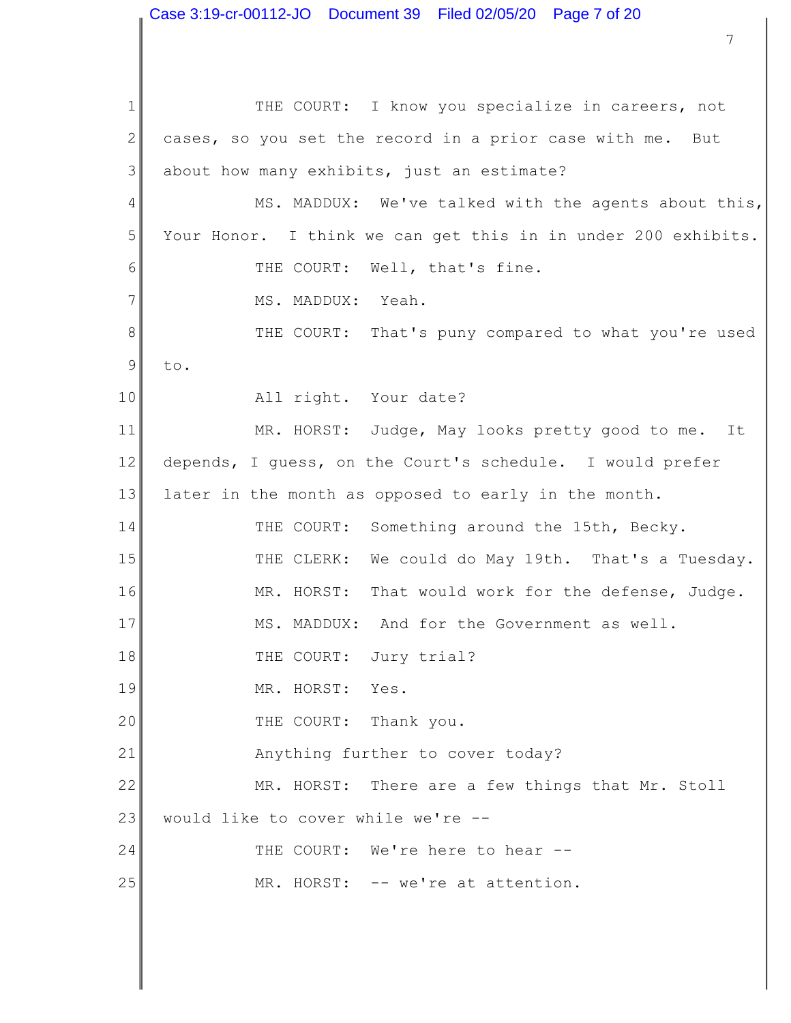1 2 3 4 5 6 7 8 9 10 11 12 13 14 15 16 17 18 19 20 21 22 23 24 25 THE COURT: I know you specialize in careers, not cases, so you set the record in a prior case with me. But about how many exhibits, just an estimate? MS. MADDUX: We've talked with the agents about this, Your Honor. I think we can get this in in under 200 exhibits. THE COURT: Well, that's fine. MS. MADDUX: Yeah. THE COURT: That's puny compared to what you're used to. All right. Your date? MR. HORST: Judge, May looks pretty good to me. It depends, I guess, on the Court's schedule. I would prefer later in the month as opposed to early in the month. THE COURT: Something around the 15th, Becky. THE CLERK: We could do May 19th. That's a Tuesday. MR. HORST: That would work for the defense, Judge. MS. MADDUX: And for the Government as well. THE COURT: Jury trial? MR. HORST: Yes. THE COURT: Thank you. Anything further to cover today? MR. HORST: There are a few things that Mr. Stoll would like to cover while we're -- THE COURT: We're here to hear --MR. HORST: -- we're at attention.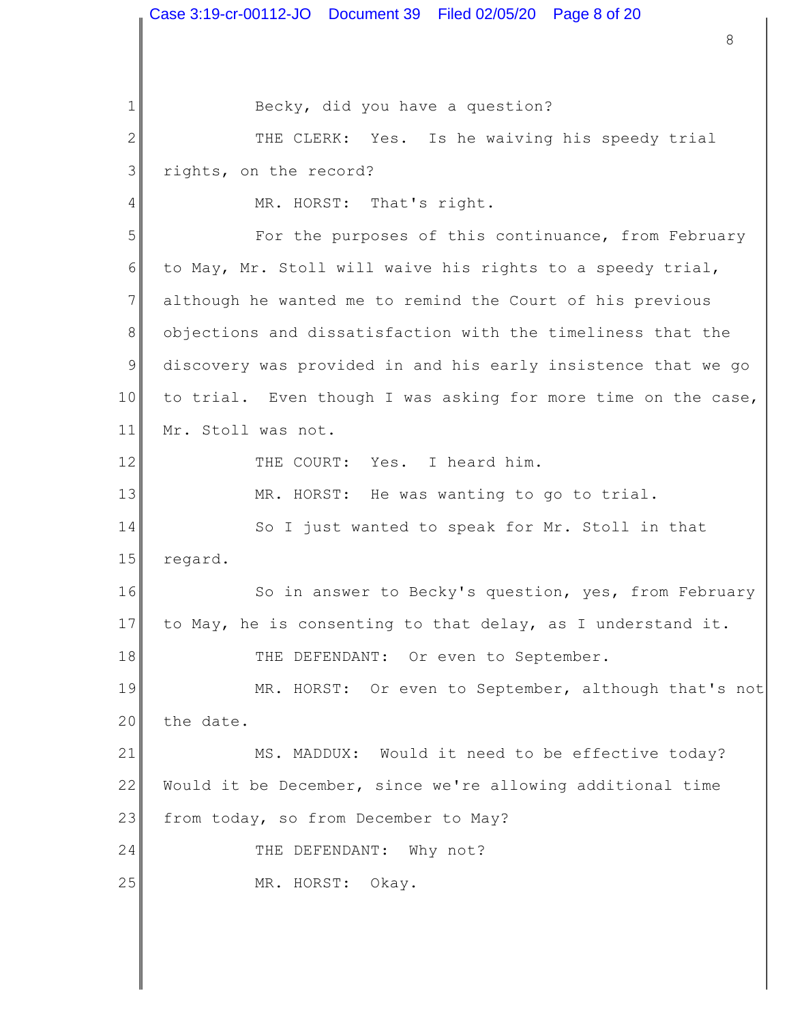Becky, did you have a question?

2 3 THE CLERK: Yes. Is he waiving his speedy trial rights, on the record?

MR. HORST: That's right.

5 6 7 8 9 10 11 For the purposes of this continuance, from February to May, Mr. Stoll will waive his rights to a speedy trial, although he wanted me to remind the Court of his previous objections and dissatisfaction with the timeliness that the discovery was provided in and his early insistence that we go to trial. Even though I was asking for more time on the case, Mr. Stoll was not.

THE COURT: Yes. I heard him.

1

4

12

13

MR. HORST: He was wanting to go to trial.

14 15 So I just wanted to speak for Mr. Stoll in that regard.

16 17 18 So in answer to Becky's question, yes, from February to May, he is consenting to that delay, as I understand it. THE DEFENDANT: Or even to September.

19 20 MR. HORST: Or even to September, although that's not the date.

21 22 23 MS. MADDUX: Would it need to be effective today? Would it be December, since we're allowing additional time from today, so from December to May?

24 THE DEFENDANT: Why not?

25 MR. HORST: Okay.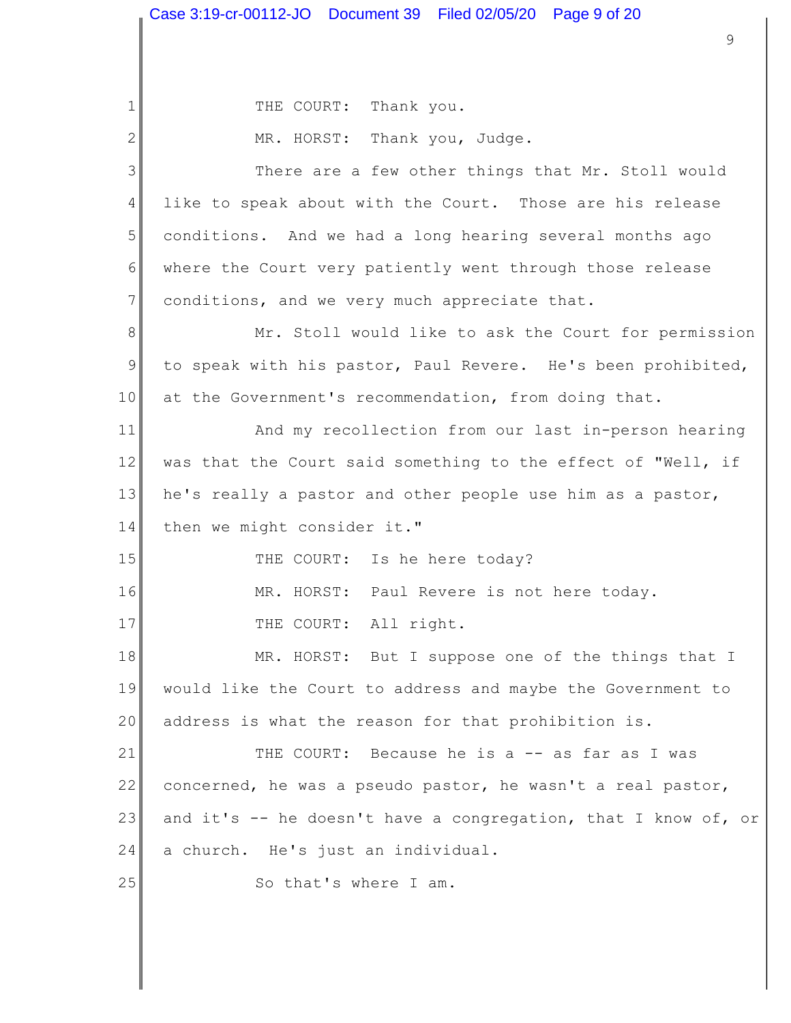1 2 3 4 5 6 7 8 9 10 11 12 13 14 15 16 17 18 19 20 21 22 23 24 25 9 THE COURT: Thank you. MR. HORST: Thank you, Judge. There are a few other things that Mr. Stoll would like to speak about with the Court. Those are his release conditions. And we had a long hearing several months ago where the Court very patiently went through those release conditions, and we very much appreciate that. Mr. Stoll would like to ask the Court for permission to speak with his pastor, Paul Revere. He's been prohibited, at the Government's recommendation, from doing that. And my recollection from our last in-person hearing was that the Court said something to the effect of "Well, if he's really a pastor and other people use him as a pastor, then we might consider it." THE COURT: Is he here today? MR. HORST: Paul Revere is not here today. THE COURT: All right. MR. HORST: But I suppose one of the things that I would like the Court to address and maybe the Government to address is what the reason for that prohibition is. THE COURT: Because he is a -- as far as I was concerned, he was a pseudo pastor, he wasn't a real pastor, and it's  $-$  he doesn't have a congregation, that I know of, or a church. He's just an individual. So that's where I am.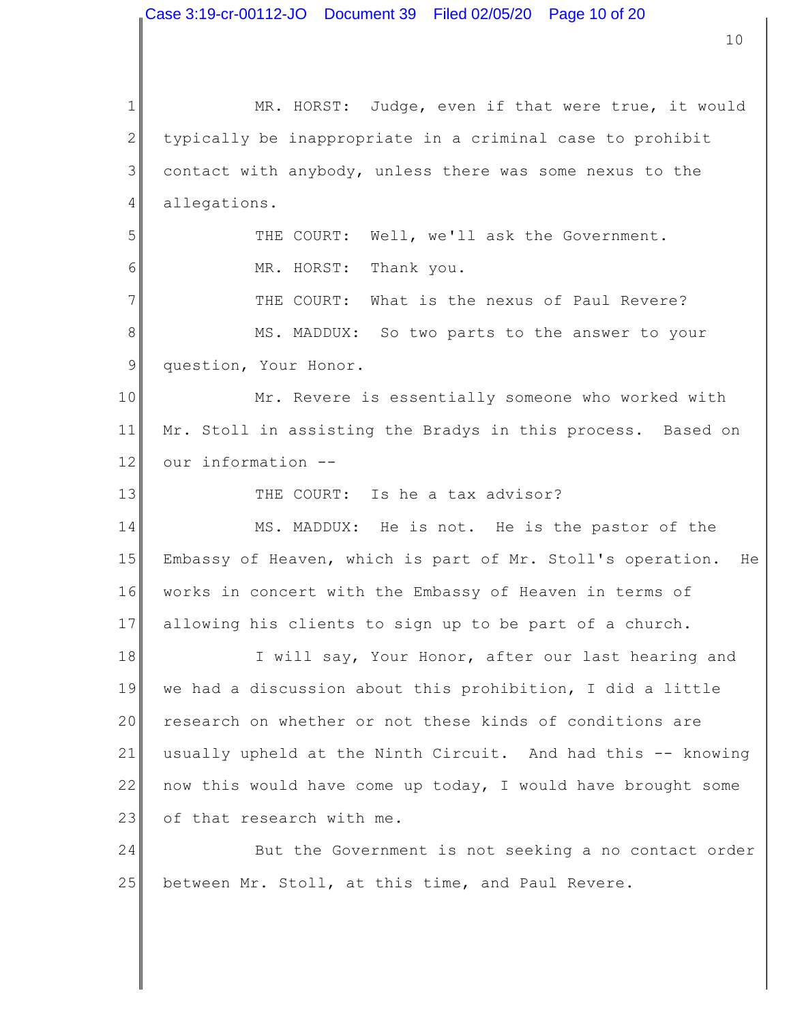1 2 3 4 5 6 7 8 9 10 11 12 13 14 15 16 17 18 19 20 21 22 23 24 25 10 MR. HORST: Judge, even if that were true, it would typically be inappropriate in a criminal case to prohibit contact with anybody, unless there was some nexus to the allegations. THE COURT: Well, we'll ask the Government. MR. HORST: Thank you. THE COURT: What is the nexus of Paul Revere? MS. MADDUX: So two parts to the answer to your question, Your Honor. Mr. Revere is essentially someone who worked with Mr. Stoll in assisting the Bradys in this process. Based on our information -- THE COURT: Is he a tax advisor? MS. MADDUX: He is not. He is the pastor of the Embassy of Heaven, which is part of Mr. Stoll's operation. He works in concert with the Embassy of Heaven in terms of allowing his clients to sign up to be part of a church. I will say, Your Honor, after our last hearing and we had a discussion about this prohibition, I did a little research on whether or not these kinds of conditions are usually upheld at the Ninth Circuit. And had this -- knowing now this would have come up today, I would have brought some of that research with me. But the Government is not seeking a no contact order between Mr. Stoll, at this time, and Paul Revere. Case 3:19-cr-00112-JO Document 39 Filed 02/05/20 Page 10 of 20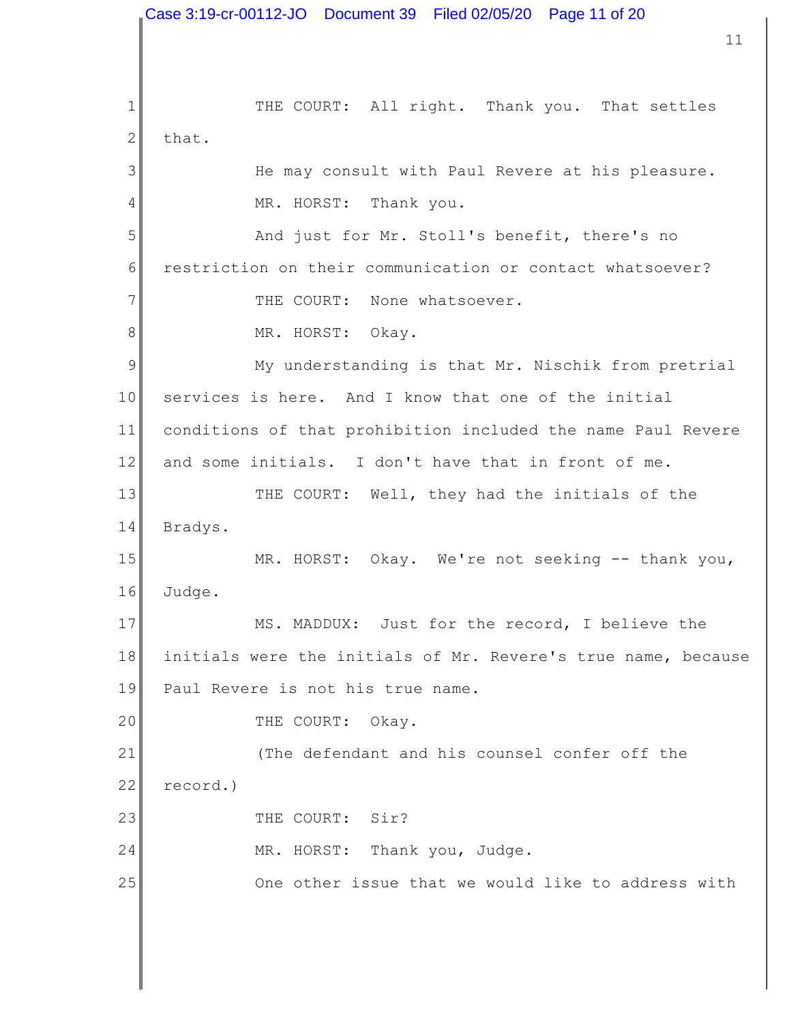1 2 3 4 5 6 7 8 9 10 11 12 13 14 15 16 17 18 19 20 21 22 23 24 25 11 THE COURT: All right. Thank you. That settles that. He may consult with Paul Revere at his pleasure. MR. HORST: Thank you. And just for Mr. Stoll's benefit, there's no restriction on their communication or contact whatsoever? THE COURT: None whatsoever. MR. HORST: Okay. My understanding is that Mr. Nischik from pretrial services is here. And I know that one of the initial conditions of that prohibition included the name Paul Revere and some initials. I don't have that in front of me. THE COURT: Well, they had the initials of the Bradys. MR. HORST: Okay. We're not seeking -- thank you, Judge. MS. MADDUX: Just for the record, I believe the initials were the initials of Mr. Revere's true name, because Paul Revere is not his true name. THE COURT: Okay. (The defendant and his counsel confer off the record.) THE COURT: Sir? MR. HORST: Thank you, Judge. One other issue that we would like to address with Case 3:19-cr-00112-JO Document 39 Filed 02/05/20 Page 11 of 20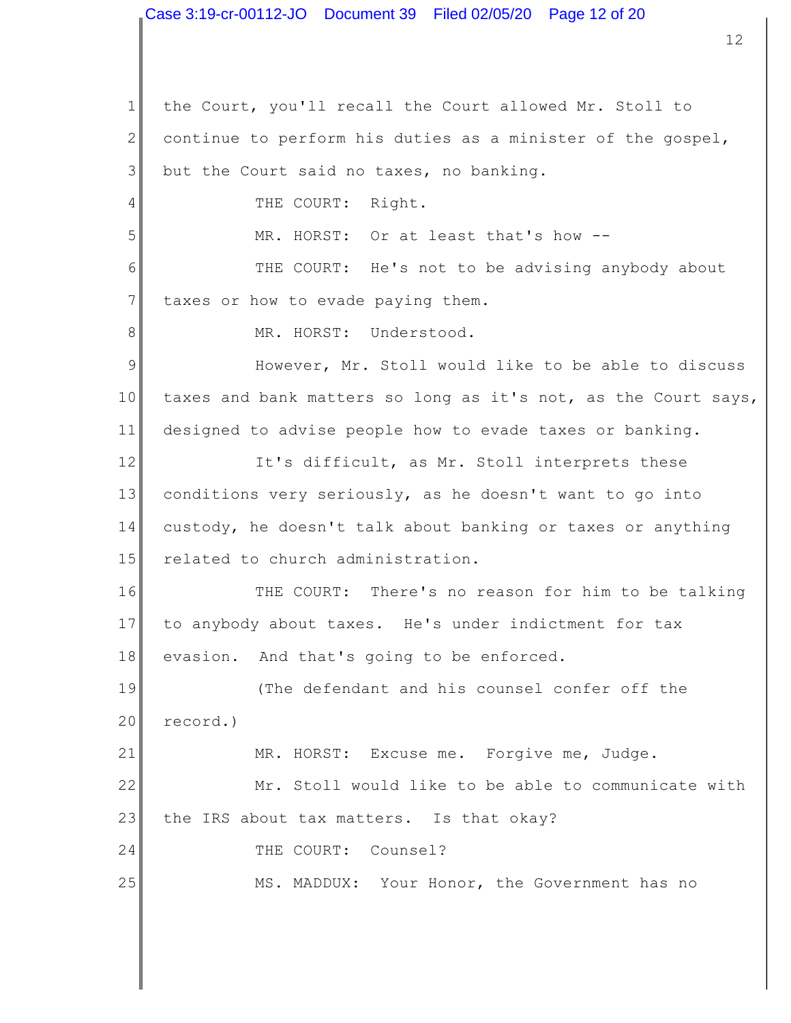1 2 3 4 5 6 7 8 9 10 11 12 13 14 15 16 17 18 19 20 21 22 23 24 25 12 the Court, you'll recall the Court allowed Mr. Stoll to continue to perform his duties as a minister of the gospel, but the Court said no taxes, no banking. THE COURT: Right. MR. HORST: Or at least that's how -- THE COURT: He's not to be advising anybody about taxes or how to evade paying them. MR. HORST: Understood. However, Mr. Stoll would like to be able to discuss taxes and bank matters so long as it's not, as the Court says, designed to advise people how to evade taxes or banking. It's difficult, as Mr. Stoll interprets these conditions very seriously, as he doesn't want to go into custody, he doesn't talk about banking or taxes or anything related to church administration. THE COURT: There's no reason for him to be talking to anybody about taxes. He's under indictment for tax evasion. And that's going to be enforced. (The defendant and his counsel confer off the record.) MR. HORST: Excuse me. Forgive me, Judge. Mr. Stoll would like to be able to communicate with the IRS about tax matters. Is that okay? THE COURT: Counsel? MS. MADDUX: Your Honor, the Government has no Case 3:19-cr-00112-JO Document 39 Filed 02/05/20 Page 12 of 20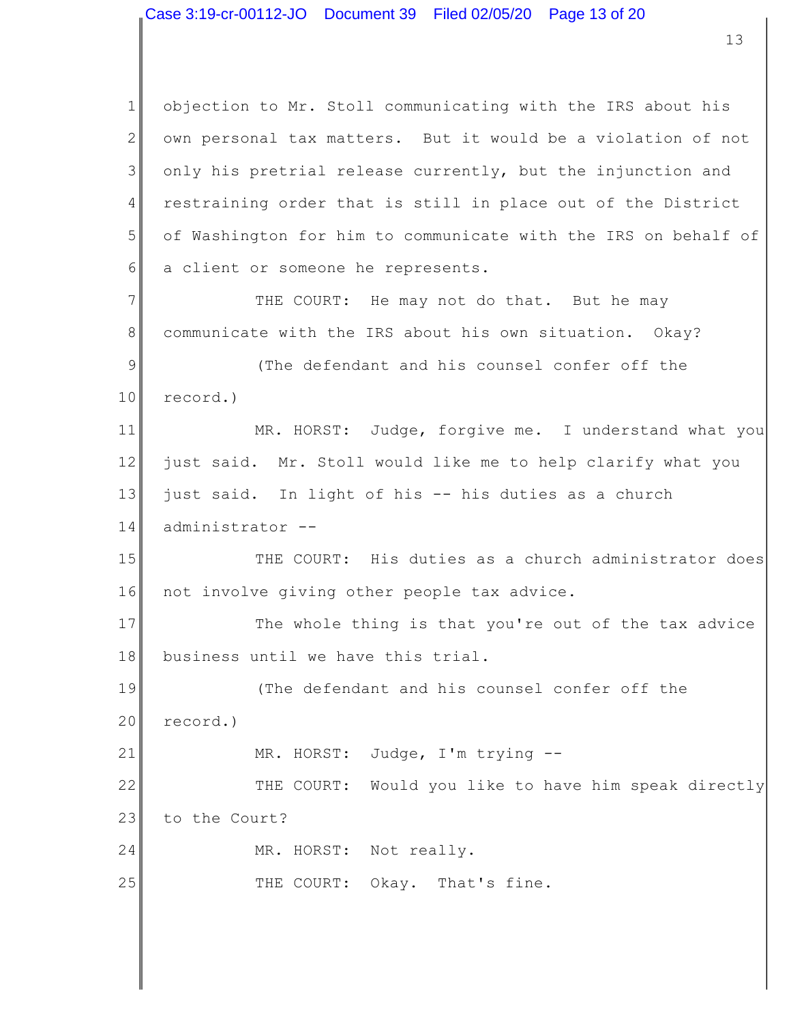1 2 3 4 5 6 7 8 9 10 11 12 13 14 15 16 17 18 19 20 21 22 23 24 25 objection to Mr. Stoll communicating with the IRS about his own personal tax matters. But it would be a violation of not only his pretrial release currently, but the injunction and restraining order that is still in place out of the District of Washington for him to communicate with the IRS on behalf of a client or someone he represents. THE COURT: He may not do that. But he may communicate with the IRS about his own situation. Okay? (The defendant and his counsel confer off the record.) MR. HORST: Judge, forgive me. I understand what you just said. Mr. Stoll would like me to help clarify what you just said. In light of his -- his duties as a church administrator -- THE COURT: His duties as a church administrator does not involve giving other people tax advice. The whole thing is that you're out of the tax advice business until we have this trial. (The defendant and his counsel confer off the record.) MR. HORST: Judge, I'm trying -- THE COURT: Would you like to have him speak directly to the Court? MR. HORST: Not really. THE COURT: Okay. That's fine.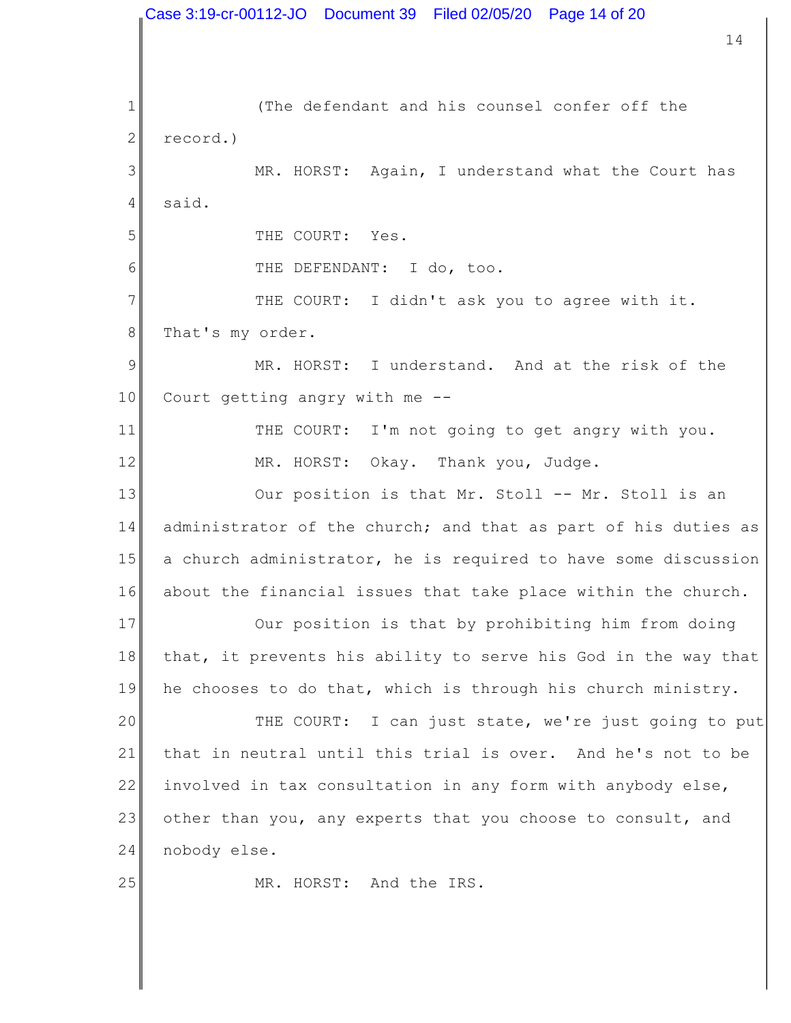1 2 3 4 5 6 7 8 9 10 11 12 13 14 15 16 17 18 19 20 21 22 23 24 25 14 (The defendant and his counsel confer off the record.) MR. HORST: Again, I understand what the Court has said. THE COURT: Yes. THE DEFENDANT: I do, too. THE COURT: I didn't ask you to agree with it. That's my order. MR. HORST: I understand. And at the risk of the Court getting angry with me -- THE COURT: I'm not going to get angry with you. MR. HORST: Okay. Thank you, Judge. Our position is that Mr. Stoll -- Mr. Stoll is an administrator of the church; and that as part of his duties as a church administrator, he is required to have some discussion about the financial issues that take place within the church. Our position is that by prohibiting him from doing that, it prevents his ability to serve his God in the way that he chooses to do that, which is through his church ministry. THE COURT: I can just state, we're just going to put that in neutral until this trial is over. And he's not to be involved in tax consultation in any form with anybody else, other than you, any experts that you choose to consult, and nobody else. MR. HORST: And the IRS. Case 3:19-cr-00112-JO Document 39 Filed 02/05/20 Page 14 of 20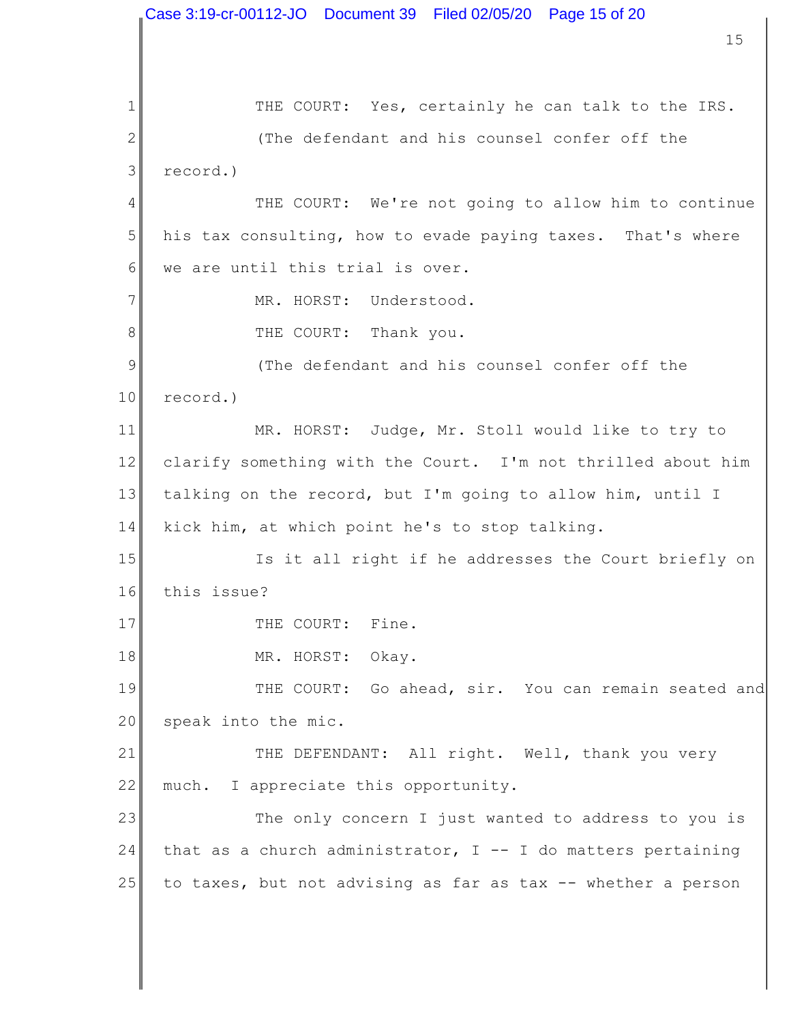1 2 3 4 5 6 7 8 9 10 11 12 13 14 15 16 17 18 19 20 21 22 23 24 25 15 THE COURT: Yes, certainly he can talk to the IRS. (The defendant and his counsel confer off the record.) THE COURT: We're not going to allow him to continue his tax consulting, how to evade paying taxes. That's where we are until this trial is over. MR. HORST: Understood. THE COURT: Thank you. (The defendant and his counsel confer off the record.) MR. HORST: Judge, Mr. Stoll would like to try to clarify something with the Court. I'm not thrilled about him talking on the record, but I'm going to allow him, until I kick him, at which point he's to stop talking. Is it all right if he addresses the Court briefly on this issue? THE COURT: Fine. MR. HORST: Okay. THE COURT: Go ahead, sir. You can remain seated and speak into the mic. THE DEFENDANT: All right. Well, thank you very much. I appreciate this opportunity. The only concern I just wanted to address to you is that as a church administrator,  $I$  -- I do matters pertaining to taxes, but not advising as far as tax -- whether a person Case 3:19-cr-00112-JO Document 39 Filed 02/05/20 Page 15 of 20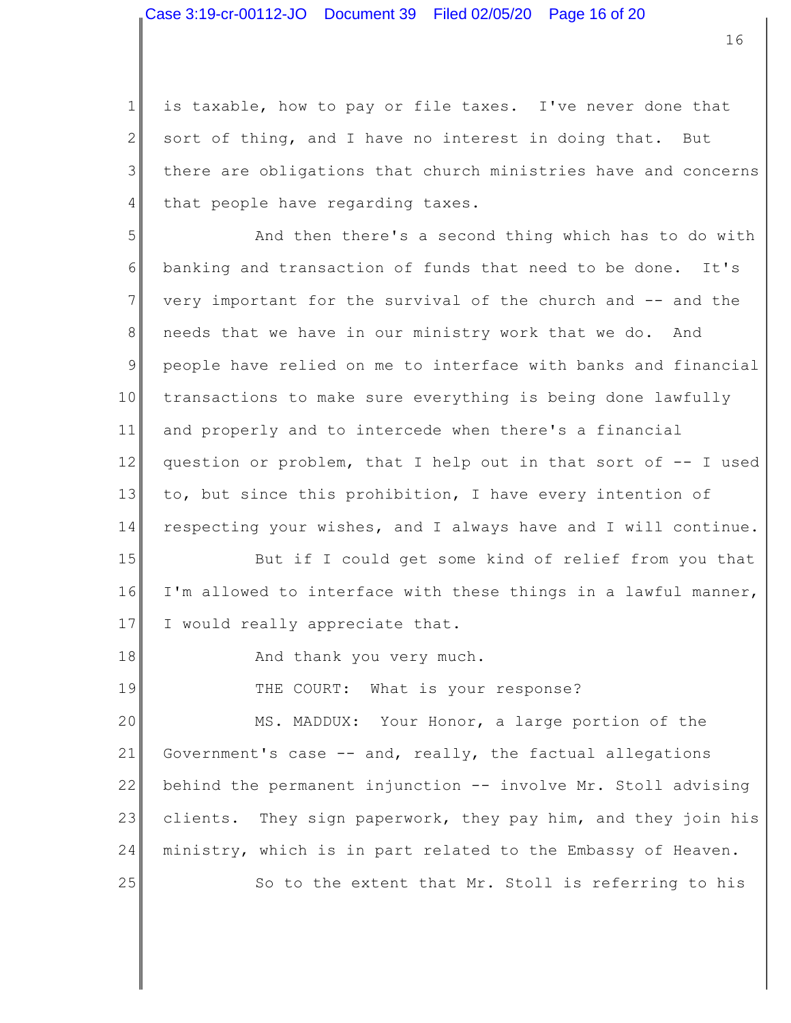1 2 3 4 is taxable, how to pay or file taxes. I've never done that sort of thing, and I have no interest in doing that. But there are obligations that church ministries have and concerns that people have regarding taxes.

5 6 7 8 9 10 11 12 13 14 And then there's a second thing which has to do with banking and transaction of funds that need to be done. It's very important for the survival of the church and -- and the needs that we have in our ministry work that we do. And people have relied on me to interface with banks and financial transactions to make sure everything is being done lawfully and properly and to intercede when there's a financial question or problem, that I help out in that sort of -- I used to, but since this prohibition, I have every intention of respecting your wishes, and I always have and I will continue.

15 16 17 But if I could get some kind of relief from you that I'm allowed to interface with these things in a lawful manner, I would really appreciate that.

18 And thank you very much.

19 THE COURT: What is your response?

20 21 22 23 24 25 MS. MADDUX: Your Honor, a large portion of the Government's case -- and, really, the factual allegations behind the permanent injunction -- involve Mr. Stoll advising clients. They sign paperwork, they pay him, and they join his ministry, which is in part related to the Embassy of Heaven. So to the extent that Mr. Stoll is referring to his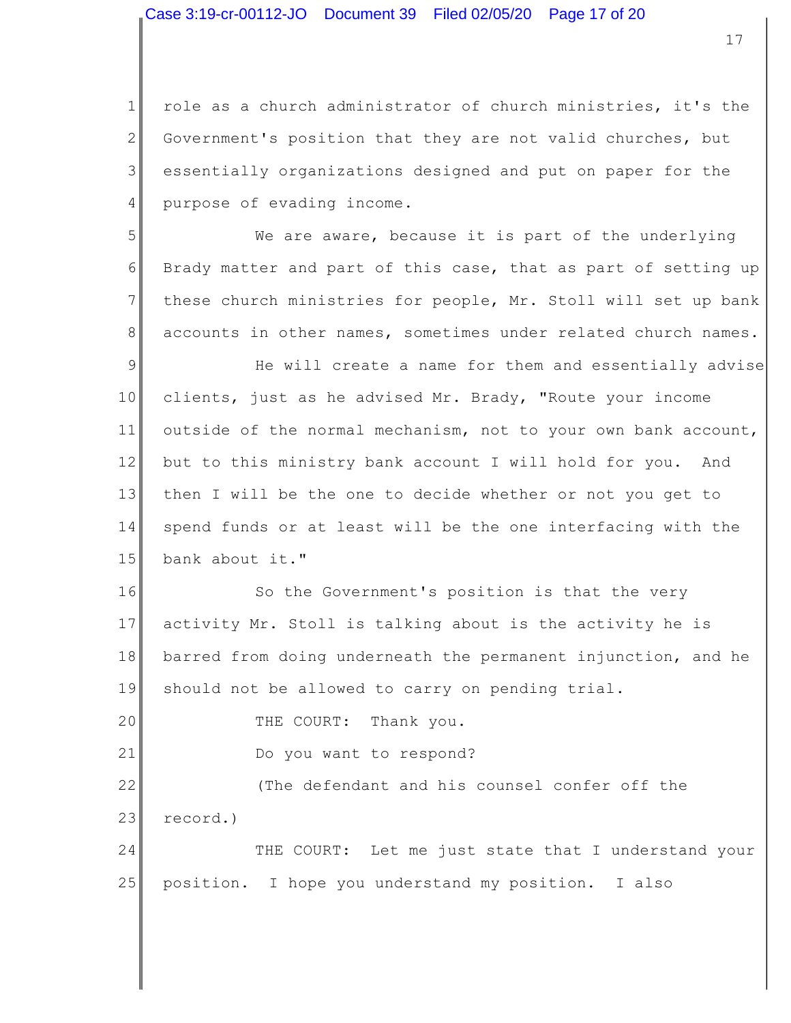17

1 2 3 4 role as a church administrator of church ministries, it's the Government's position that they are not valid churches, but essentially organizations designed and put on paper for the purpose of evading income.

5 6 7 8 We are aware, because it is part of the underlying Brady matter and part of this case, that as part of setting up these church ministries for people, Mr. Stoll will set up bank accounts in other names, sometimes under related church names.

9 10 11 12 13 14 15 He will create a name for them and essentially advise clients, just as he advised Mr. Brady, "Route your income outside of the normal mechanism, not to your own bank account, but to this ministry bank account I will hold for you. And then I will be the one to decide whether or not you get to spend funds or at least will be the one interfacing with the bank about it."

16 17 18 19 So the Government's position is that the very activity Mr. Stoll is talking about is the activity he is barred from doing underneath the permanent injunction, and he should not be allowed to carry on pending trial.

20 THE COURT: Thank you.

21 Do you want to respond?

22 23 (The defendant and his counsel confer off the record.)

24 25 THE COURT: Let me just state that I understand your position. I hope you understand my position. I also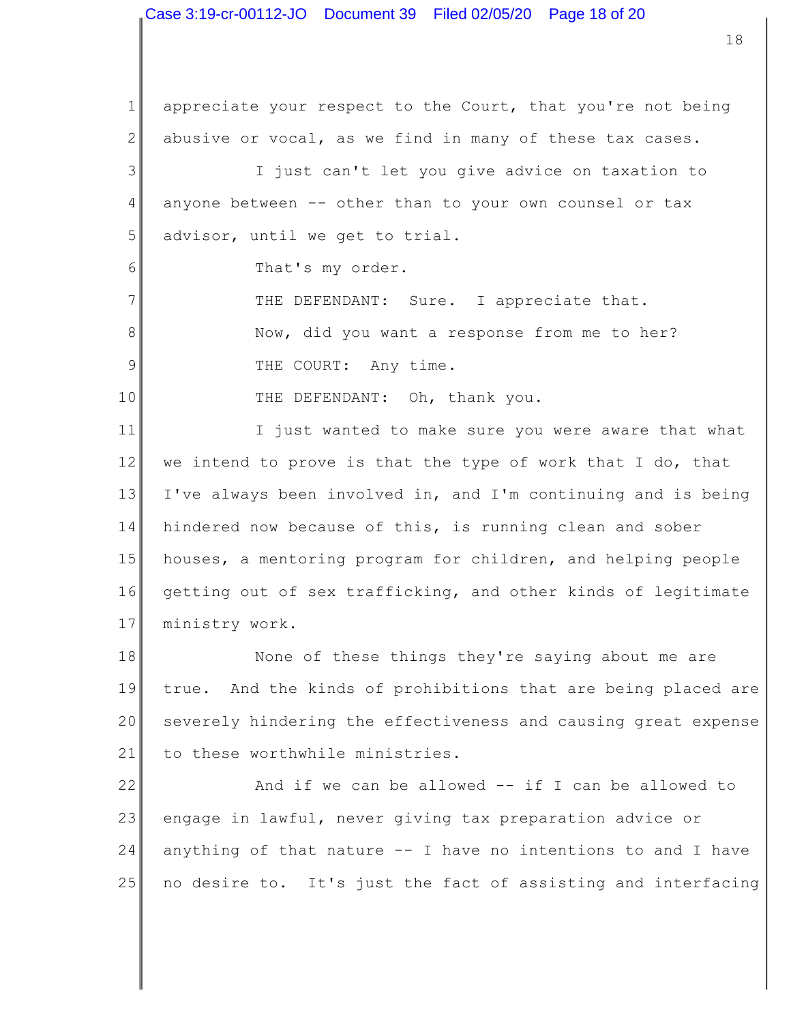1 2 3 4 5 6 7 8 9 10 11 12 13 14 15 16 17 18 19 appreciate your respect to the Court, that you're not being abusive or vocal, as we find in many of these tax cases. I just can't let you give advice on taxation to anyone between -- other than to your own counsel or tax advisor, until we get to trial. That's my order. THE DEFENDANT: Sure. I appreciate that. Now, did you want a response from me to her? THE COURT: Any time. THE DEFENDANT: Oh, thank you. I just wanted to make sure you were aware that what we intend to prove is that the type of work that I do, that I've always been involved in, and I'm continuing and is being hindered now because of this, is running clean and sober houses, a mentoring program for children, and helping people getting out of sex trafficking, and other kinds of legitimate ministry work. None of these things they're saying about me are true. And the kinds of prohibitions that are being placed are

20 21 severely hindering the effectiveness and causing great expense to these worthwhile ministries.

22 23 24 25 And if we can be allowed  $--$  if I can be allowed to engage in lawful, never giving tax preparation advice or anything of that nature -- I have no intentions to and I have no desire to. It's just the fact of assisting and interfacing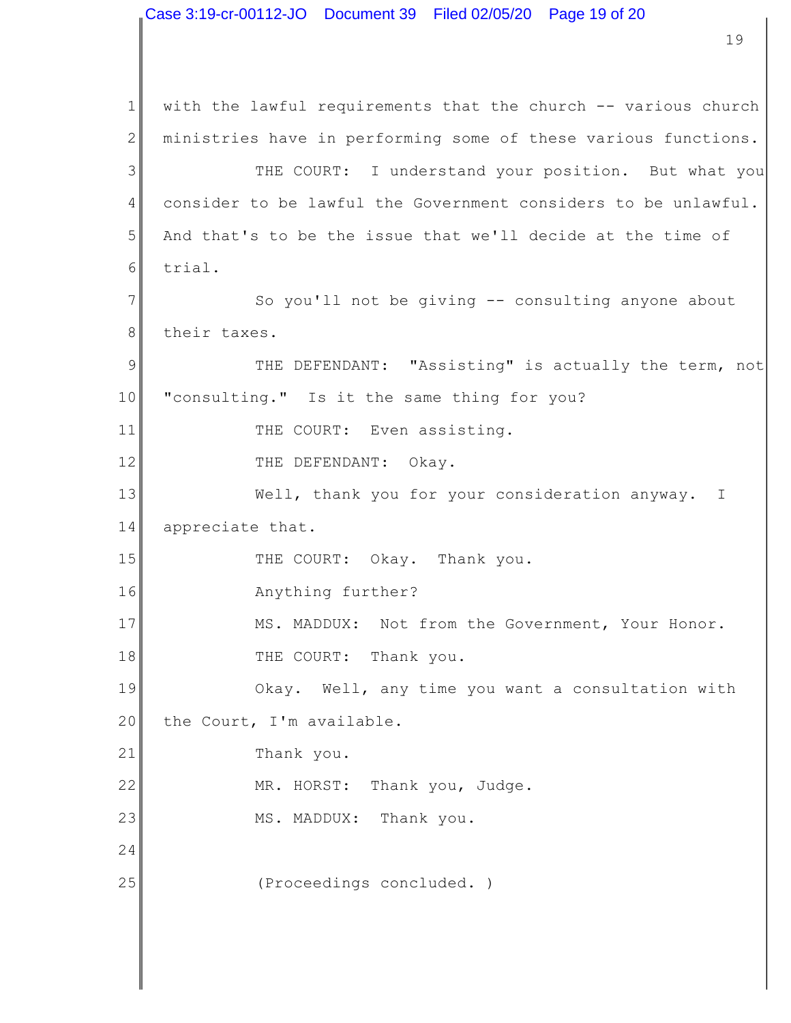1 2 3 4 5 6 7 8 9 10 11 12 13 14 15 16 17 18 19 20 21 22 23 24 25 with the lawful requirements that the church -- various church ministries have in performing some of these various functions. THE COURT: I understand your position. But what you consider to be lawful the Government considers to be unlawful. And that's to be the issue that we'll decide at the time of trial. So you'll not be giving -- consulting anyone about their taxes. THE DEFENDANT: "Assisting" is actually the term, not "consulting." Is it the same thing for you? THE COURT: Even assisting. THE DEFENDANT: Okay. Well, thank you for your consideration anyway. I appreciate that. THE COURT: Okay. Thank you. Anything further? MS. MADDUX: Not from the Government, Your Honor. THE COURT: Thank you. Okay. Well, any time you want a consultation with the Court, I'm available. Thank you. MR. HORST: Thank you, Judge. MS. MADDUX: Thank you. (Proceedings concluded. )